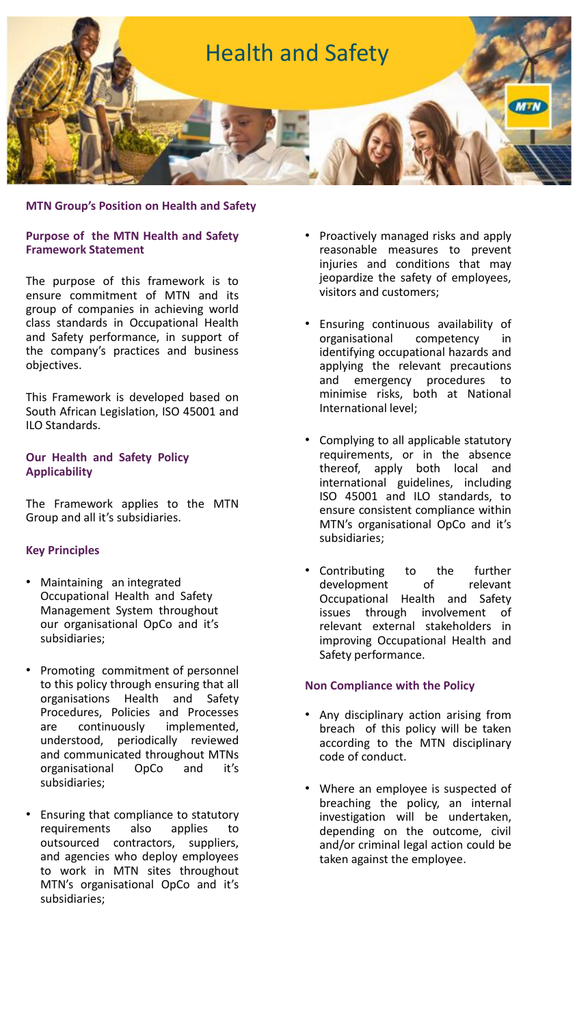

#### **Purpose of the MTN Health and Safety Framework Statement**

The purpose of this framework is to ensure commitment of MTN and its group of companies in achieving world class standards in Occupational Health and Safety performance, in support of the company's practices and business objectives.

This Framework is developed based on South African Legislation, ISO 45001 and ILO Standards.

## **Our Health and Safety Policy Applicability**

The Framework applies to the MTN Group and all it's subsidiaries.

## **Key Principles**

- Maintaining an integrated Occupational Health and Safety Management System throughout our organisational OpCo and it's subsidiaries;
- Promoting commitment of personnel to this policy through ensuring that all organisations Health and Safety Procedures, Policies and Processes are continuously implemented, understood, periodically reviewed and communicated throughout MTNs organisational OpCo and it's subsidiaries;
- Ensuring that compliance to statutory requirements also applies to outsourced contractors, suppliers, and agencies who deploy employees to work in MTN sites throughout MTN's organisational OpCo and it's subsidiaries;
- Proactively managed risks and apply reasonable measures to prevent injuries and conditions that may jeopardize the safety of employees, visitors and customers;
- Ensuring continuous availability of organisational competency in identifying occupational hazards and applying the relevant precautions and emergency procedures to minimise risks, both at National International level;
- Complying to all applicable statutory requirements, or in the absence thereof, apply both local and international guidelines, including ISO 45001 and ILO standards, to ensure consistent compliance within MTN's organisational OpCo and it's subsidiaries;
- Contributing to the further development of relevant Occupational Health and Safety issues through involvement of relevant external stakeholders in improving Occupational Health and Safety performance.

## **Non Compliance with the Policy**

- Any disciplinary action arising from breach of this policy will be taken according to the MTN disciplinary code of conduct.
- Where an employee is suspected of breaching the policy, an internal investigation will be undertaken, depending on the outcome, civil and/or criminal legal action could be taken against the employee.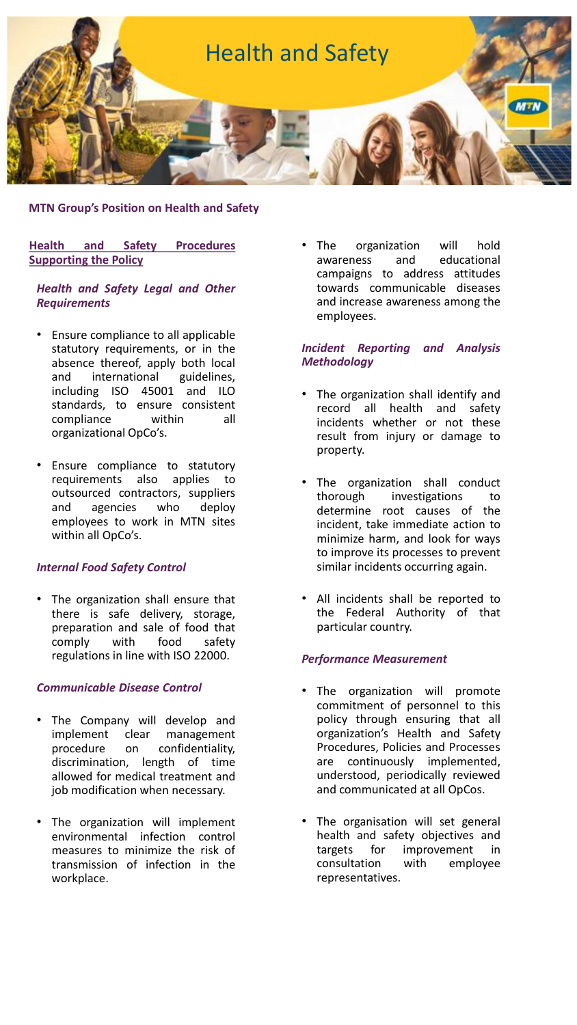

# **Health and Safety Procedures Supporting the Policy**

## *Health and Safety Legal and Other Requirements*

- Ensure compliance to all applicable statutory requirements, or in the absence thereof, apply both local and international guidelines, including ISO 45001 and ILO standards, to ensure consistent compliance within all organizational OpCo's.
- Ensure compliance to statutory requirements also applies to outsourced contractors, suppliers and agencies who deploy employees to work in MTN sites within all OpCo's.

# *Internal Food Safety Control*

The organization shall ensure that there is safe delivery, storage, preparation and sale of food that comply with food safety regulations in line with ISO 22000.

## *Communicable Disease Control*

- The Company will develop and implement clear management<br>procedure on confidentiality, on confidentiality, discrimination, length of time allowed for medical treatment and job modification when necessary.
- The organization will implement environmental infection control measures to minimize the risk of transmission of infection in the workplace.

The organization will hold<br>awareness and educational awareness and campaigns to address attitudes towards communicable diseases and increase awareness among the employees.

# *Incident Reporting and Analysis Methodology*

- The organization shall identify and record all health and safety incidents whether or not these result from injury or damage to property.
- The organization shall conduct thorough investigations to determine root causes of the incident, take immediate action to minimize harm, and look for ways to improve its processes to prevent similar incidents occurring again.
- All incidents shall be reported to the Federal Authority of that particular country.

# *Performance Measurement*

- The organization will promote commitment of personnel to this policy through ensuring that all organization's Health and Safety Procedures, Policies and Processes are continuously implemented, understood, periodically reviewed and communicated at all OpCos.
- The organisation will set general health and safety objectives and targets for improvement in consultation with employee representatives.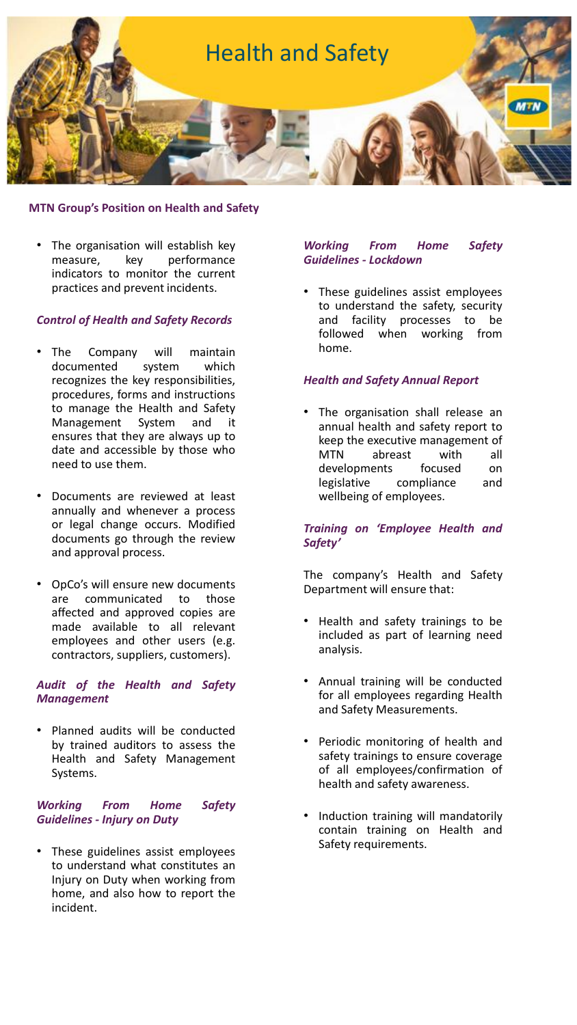

The organisation will establish key measure, key performance indicators to monitor the current practices and prevent incidents.

## *Control of Health and Safety Records*

- The Company will maintain documented system which recognizes the key responsibilities, procedures, forms and instructions to manage the Health and Safety Management System and it ensures that they are always up to date and accessible by those who need to use them.
- Documents are reviewed at least annually and whenever a process or legal change occurs. Modified documents go through the review and approval process.
- OpCo's will ensure new documents are communicated to those affected and approved copies are made available to all relevant employees and other users (e.g. contractors, suppliers, customers).

#### *Audit of the Health and Safety Management*

Planned audits will be conducted by trained auditors to assess the Health and Safety Management Systems.

## *Working From Home Safety Guidelines - Injury on Duty*

These guidelines assist employees to understand what constitutes an Injury on Duty when working from home, and also how to report the incident.

## *Working From Home Safety Guidelines - Lockdown*

These guidelines assist employees to understand the safety, security and facility processes to be followed when working from home.

## *Health and Safety Annual Report*

• The organisation shall release an annual health and safety report to keep the executive management of MTN abreast with all developments focused on legislative compliance and wellbeing of employees.

#### *Training on 'Employee Health and Safety'*

The company's Health and Safety Department will ensure that:

- Health and safety trainings to be included as part of learning need analysis.
- Annual training will be conducted for all employees regarding Health and Safety Measurements.
- Periodic monitoring of health and safety trainings to ensure coverage of all employees/confirmation of health and safety awareness.
- Induction training will mandatorily contain training on Health and Safety requirements.